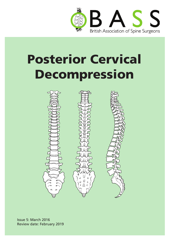

# Posterior Cervical Decompression



Issue 5: March 2016 Review date: February 2019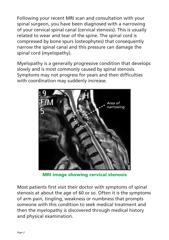Following your recent MRI scan and consultation with your spinal surgeon, you have been diagnosed with a narrowing of your cervical spinal canal (cervical stenosis). This is usually related to wear and tear of the spine. The spinal cord is compressed by bone spurs (osteophytes) that consequently narrow the spinal canal and this pressure can damage the spinal cord (myelopathy).

Myelopathy is a generally progressive condition that develops slowly and is most commonly caused by spinal stenosis. Symptoms may not progress for years and then difficulties with coordination may suddenly increase.



MRI image showing cervical stenosis

Most patients first visit their doctor with symptoms of spinal stenosis at about the age of 60 or so. Often it is the symptoms of arm pain, tingling, weakness or numbness that prompts someone with this condition to seek medical treatment and then the myelopathy is discovered through medical history and physical examination.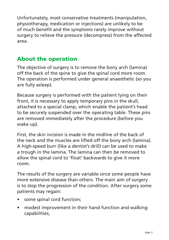Unfortunately, most conservative treatments (manipulation, physiotherapy, medication or injections) are unlikely to be of much benefit and the symptoms rarely improve without surgery to relieve the pressure (decompress) from the affected area.

# About the operation

The objective of surgery is to remove the bony arch (lamina) off the back of the spine to give the spinal cord more room. The operation is performed under general anaesthetic (so you are fully asleep).

Because surgery is performed with the patient lying on their front, it is necessary to apply temporary pins in the skull, attached to a special clamp, which enable the patient's head to be securely suspended over the operating table. These pins are removed immediately after the procedure (before you wake up).

First, the skin incision is made in the midline of the back of the neck and the muscles are lifted off the bony arch (lamina). A high-speed burr (like a dentist's drill) can be used to make a trough in the lamina. The lamina can then be removed to allow the spinal cord to 'float' backwards to give it more room.

The results of the surgery are variable since some people have more extensive disease than others. The main aim of surgery is to stop the progression of the condition. After surgery some patients may regain:

- some spinal cord function;
- modest improvement in their hand function and walking capabilities;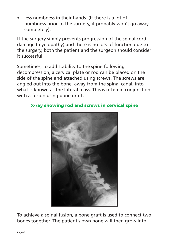less numbness in their hands. (If there is a lot of numbness prior to the surgery, it probably won't go away completely).

If the surgery simply prevents progression of the spinal cord damage (myelopathy) and there is no loss of function due to the surgery, both the patient and the surgeon should consider it successful.

Sometimes, to add stability to the spine following decompression, a cervical plate or rod can be placed on the side of the spine and attached using screws. The screws are angled out into the bone, away from the spinal canal, into what is known as the lateral mass. This is often in conjunction with a fusion using bone graft.

#### X-ray showing rod and screws in cervical spine



To achieve a spinal fusion, a bone graft is used to connect two bones together. The patient's own bone will then grow into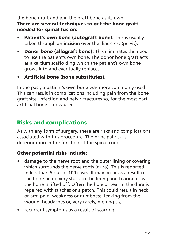the bone graft and join the graft bone as its own. There are several techniques to get the bone graft needed for spinal fusion:

- Patient's own bone (autograft bone): This is usually taken through an incision over the iliac crest (pelvis);
- Donor bone (allograft bone): This eliminates the need to use the patient's own bone. The donor bone graft acts as a calcium scaffolding which the patient's own bone grows into and eventually replaces;
- Artificial bone (bone substitutes).

In the past, a patient's own bone was more commonly used. This can result in complications including pain from the bone graft site, infection and pelvic fractures so, for the most part, artificial bone is now used.

## Risks and complications

As with any form of surgery, there are risks and complications associated with this procedure. The principal risk is deterioration in the function of the spinal cord.

#### Other potential risks include:

- damage to the nerve root and the outer lining or covering which surrounds the nerve roots (dura). This is reported in less than 5 out of 100 cases. It may occur as a result of the bone being very stuck to the lining and tearing it as the bone is lifted off. Often the hole or tear in the dura is repaired with stitches or a patch. This could result in neck or arm pain, weakness or numbness, leaking from the wound, headaches or, very rarely, meningitis;
- recurrent symptoms as a result of scarring;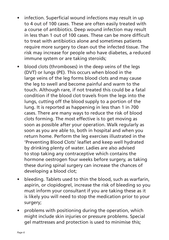- infection. Superficial wound infections may result in up to 4 out of 100 cases. These are often easily treated with a course of antibiotics. Deep wound infection may result in less than 1 out of 100 cases. These can be more difficult to treat with antibiotics alone and sometimes patients require more surgery to clean out the infected tissue. The risk may increase for people who have diabetes, a reduced immune system or are taking steroids;
- blood clots (thromboses) in the deep veins of the legs (DVT) or lungs (PE). This occurs when blood in the large veins of the leg forms blood clots and may cause the leg to swell and become painful and warm to the touch. Although rare, if not treated this could be a fatal condition if the blood clot travels from the legs into the lungs, cutting off the blood supply to a portion of the lung. It is reported as happening in less than 1 in 700 cases. There are many ways to reduce the risk of blood clots forming. The most effective is to get moving as soon as possible after your operation. Walk regularly as soon as you are able to, both in hospital and when you return home. Perform the leg exercises illustrated in the 'Preventing Blood Clots' leaflet and keep well hydrated by drinking plenty of water. Ladies are also advised to stop taking any contraceptive which contains the hormone oestrogen four weeks before surgery, as taking these during spinal surgery can increase the chances of developing a blood clot;
- bleeding. Tablets used to thin the blood, such as warfarin, aspirin, or clopidogrel, increase the risk of bleeding so you must inform your consultant if you are taking these as it is likely you will need to stop the medication prior to your surgery;
- problems with positioning during the operation, which might include skin injuries or pressure problems. Special gel mattresses and protection is used to minimise this;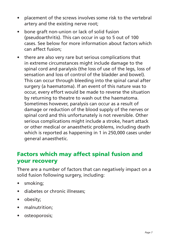- placement of the screws involves some risk to the vertebral artery and the existing nerve root;
- bone graft non-union or lack of solid fusion (pseudoarthritis). This can occur in up to 5 out of 100 cases. See below for more information about factors which can affect fusion;
- there are also very rare but serious complications that in extreme circumstances might include damage to the spinal cord and paralysis (the loss of use of the legs, loss of sensation and loss of control of the bladder and bowel). This can occur through bleeding into the spinal canal after surgery (a haematoma). If an event of this nature was to occur, every effort would be made to reverse the situation by returning to theatre to wash out the haematoma. Sometimes however, paralysis can occur as a result of damage or reduction of the blood supply of the nerves or spinal cord and this unfortunately is not reversible. Other serious complications might include a stroke, heart attack or other medical or anaesthetic problems, including death which is reported as happening in 1 in 250,000 cases under general anaesthetic.

# Factors which may affect spinal fusion and your recovery

There are a number of factors that can negatively impact on a solid fusion following surgery, including:

- smoking;
- diabetes or chronic illnesses:
- obesity;
- malnutrition:
- osteoporosis;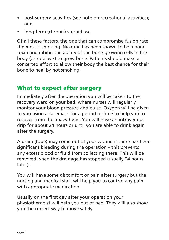- post-surgery activities (see note on recreational activities); and
- long-term (chronic) steroid use.

Of all these factors, the one that can compromise fusion rate the most is smoking. Nicotine has been shown to be a bone toxin and inhibit the ability of the bone-growing cells in the body (osteoblasts) to grow bone. Patients should make a concerted effort to allow their body the best chance for their bone to heal by not smoking.

#### What to expect after surgery

Immediately after the operation you will be taken to the recovery ward on your bed, where nurses will regularly monitor your blood pressure and pulse. Oxygen will be given to you using a facemask for a period of time to help you to recover from the anaesthetic. You will have an intravenous drip for about 24 hours or until you are able to drink again after the surgery.

A drain (tube) may come out of your wound if there has been significant bleeding during the operation – this prevents any excess blood or fluid from collecting there. This will be removed when the drainage has stopped (usually 24 hours later).

You will have some discomfort or pain after surgery but the nursing and medical staff will help you to control any pain with appropriate medication.

Usually on the first day after your operation your physiotherapist will help you out of bed. They will also show you the correct way to move safely.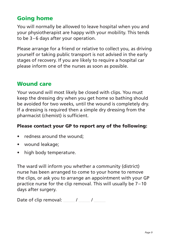# Going home

You will normally be allowed to leave hospital when you and your physiotherapist are happy with your mobility. This tends to be 3–6 days after your operation.

Please arrange for a friend or relative to collect you, as driving yourself or taking public transport is not advised in the early stages of recovery. If you are likely to require a hospital car please inform one of the nurses as soon as possible.

#### Wound care

Your wound will most likely be closed with clips. You must keep the dressing dry when you get home so bathing should be avoided for two weeks, until the wound is completely dry. If a dressing is required then a simple dry dressing from the pharmacist (chemist) is sufficient.

#### Please contact your GP to report any of the following:

- redness around the wound:
- wound leakage;
- high body temperature.

The ward will inform you whether a community (district) nurse has been arranged to come to your home to remove the clips, or ask you to arrange an appointment with your GP practice nurse for the clip removal. This will usually be 7–10 days after surgery.

Date of clip removal: / /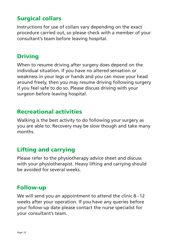# Surgical collars

Instructions for use of collars vary depending on the exact procedure carried out, so please check with a member of your consultant's team before leaving hospital.

# Driving

When to resume driving after surgery does depend on the individual situation. If you have no altered sensation or weakness in your legs or hands and you can move your head around freely, then you may resume driving following surgery if you feel safe to do so. Please discuss driving with your surgeon before leaving hospital.

### Recreational activities

Walking is the best activity to do following your surgery as you are able to. Recovery may be slow though and take many months.

# Lifting and carrying

Please refer to the physiotherapy advice sheet and discuss with your physiotherapist. Heavy lifting and carrying should be avoided for several weeks.

## Follow-up

We will send you an appointment to attend the clinic 8-12 weeks after your operation. If you have any queries before your follow-up date please contact the nurse specialist for your consultant's team.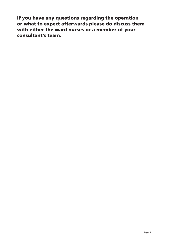If you have any questions regarding the operation or what to expect afterwards please do discuss them with either the ward nurses or a member of your consultant's team.